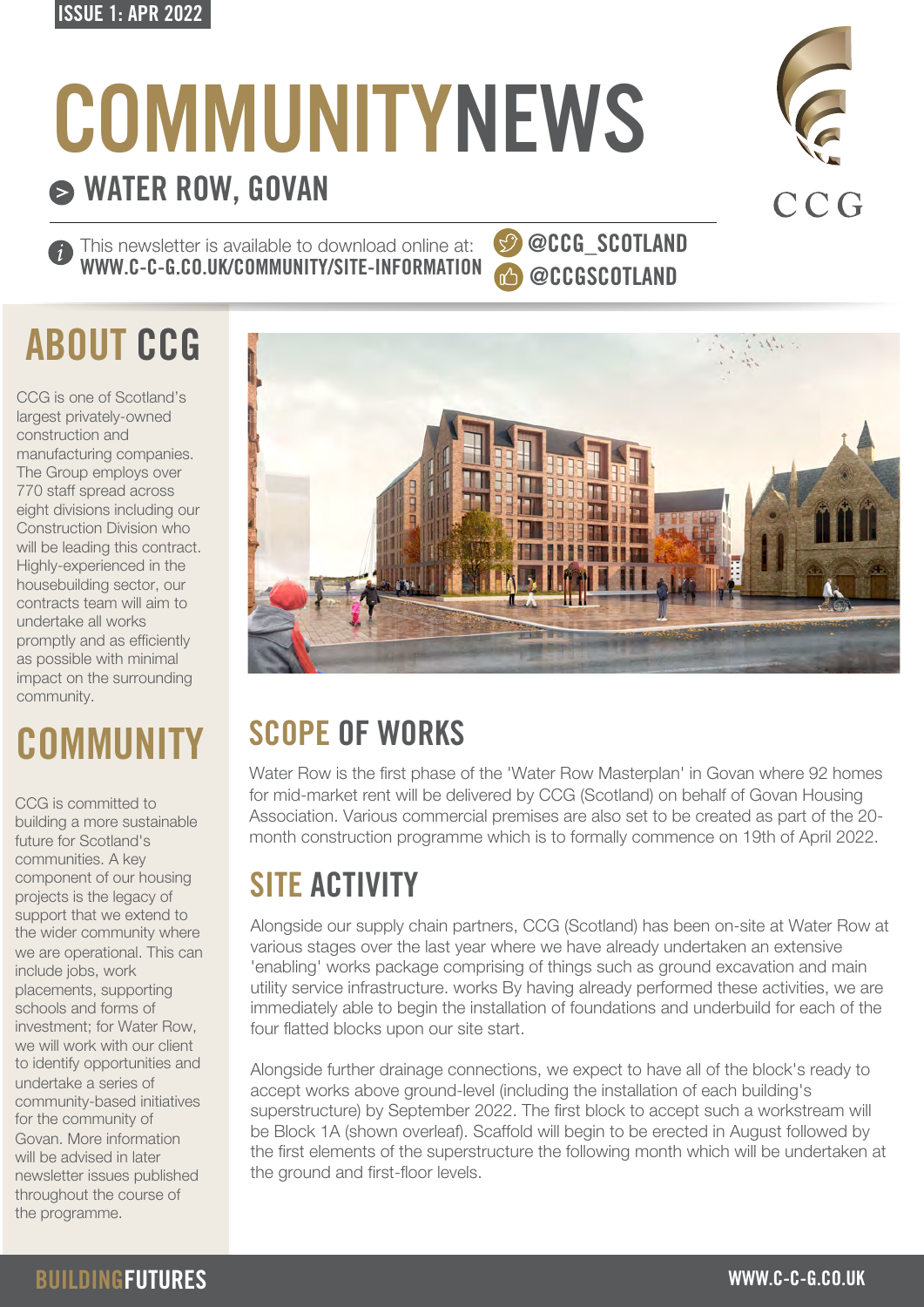#### ISSUE 1: APR 2022

# **COMMUNITYNEWS**

### WATER ROW, GOVAN

This newsletter is available to download online at: WWW.C-C-G.CO.UK/COMMUNITY/SITE-INFORMATION

## ABOUT CCG

CCG is one of Scotland's largest privately-owned construction and manufacturing companies. The Group employs over 770 staff spread across eight divisions including our Construction Division who will be leading this contract. Highly-experienced in the housebuilding sector, our contracts team will aim to undertake all works promptly and as efficiently as possible with minimal impact on the surrounding community.

## **COMMUNITY**

CCG is committed to building a more sustainable future for Scotland's communities. A key component of our housing projects is the legacy of support that we extend to the wider community where we are operational. This can include jobs, work placements, supporting schools and forms of investment; for Water Row, we will work with our client to identify opportunities and undertake a series of community-based initiatives for the community of Govan. More information will be advised in later newsletter issues published throughout the course of the programme.

# SCOPE OF WORKS

Water Row is the first phase of the 'Water Row Masterplan' in Govan where 92 homes for mid-market rent will be delivered by CCG (Scotland) on behalf of Govan Housing Association. Various commercial premises are also set to be created as part of the 20 month construction programme which is to formally commence on 19th of April 2022.

### SITE ACTIVITY

Alongside our supply chain partners, CCG (Scotland) has been on-site at Water Row at various stages over the last year where we have already undertaken an extensive 'enabling' works package comprising of things such as ground excavation and main utility service infrastructure. works By having already performed these activities, we are immediately able to begin the installation of foundations and underbuild for each of the four flatted blocks upon our site start.

Alongside further drainage connections, we expect to have all of the block's ready to accept works above ground-level (including the installation of each building's superstructure) by September 2022. The first block to accept such a workstream will be Block 1A (shown overleaf). Scaffold will begin to be erected in August followed by the first elements of the superstructure the following month which will be undertaken at the ground and first-floor levels.



 $\mathcal{L}$ 

@CCG\_SCOTLAND

@CCGSCOTLAND



 $31^{4}$